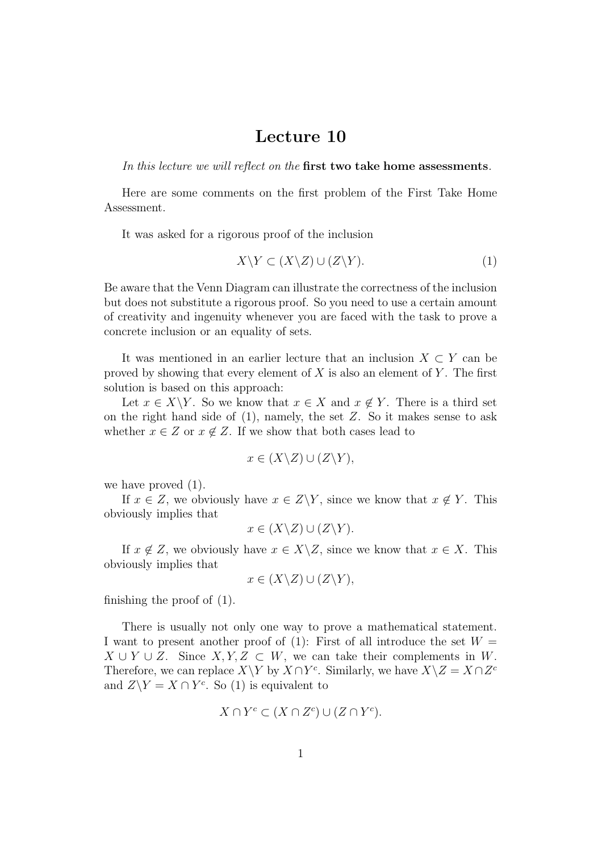## Lecture 10

In this lecture we will reflect on the first two take home assessments.

Here are some comments on the first problem of the First Take Home Assessment.

It was asked for a rigorous proof of the inclusion

$$
X \backslash Y \subset (X \backslash Z) \cup (Z \backslash Y). \tag{1}
$$

Be aware that the Venn Diagram can illustrate the correctness of the inclusion but does not substitute a rigorous proof. So you need to use a certain amount of creativity and ingenuity whenever you are faced with the task to prove a concrete inclusion or an equality of sets.

It was mentioned in an earlier lecture that an inclusion  $X \subset Y$  can be proved by showing that every element of  $X$  is also an element of  $Y$ . The first solution is based on this approach:

Let  $x \in X \backslash Y$ . So we know that  $x \in X$  and  $x \notin Y$ . There is a third set on the right hand side of  $(1)$ , namely, the set Z. So it makes sense to ask whether  $x \in Z$  or  $x \notin Z$ . If we show that both cases lead to

$$
x \in (X \backslash Z) \cup (Z \backslash Y),
$$

we have proved (1).

If  $x \in Z$ , we obviously have  $x \in Z\Y$ , since we know that  $x \notin Y$ . This obviously implies that

$$
x \in (X \backslash Z) \cup (Z \backslash Y).
$$

If  $x \notin Z$ , we obviously have  $x \in X\backslash Z$ , since we know that  $x \in X$ . This obviously implies that

$$
x \in (X \backslash Z) \cup (Z \backslash Y),
$$

finishing the proof of (1).

There is usually not only one way to prove a mathematical statement. I want to present another proof of (1): First of all introduce the set  $W =$  $X \cup Y \cup Z$ . Since  $X, Y, Z \subset W$ , we can take their complements in W. Therefore, we can replace  $X\Y$  by  $X\cap Y^c$ . Similarly, we have  $X\setminus Z = X\cap Z^c$ and  $Z\ Y = X \cap Y^c$ . So (1) is equivalent to

$$
X \cap Y^c \subset (X \cap Z^c) \cup (Z \cap Y^c).
$$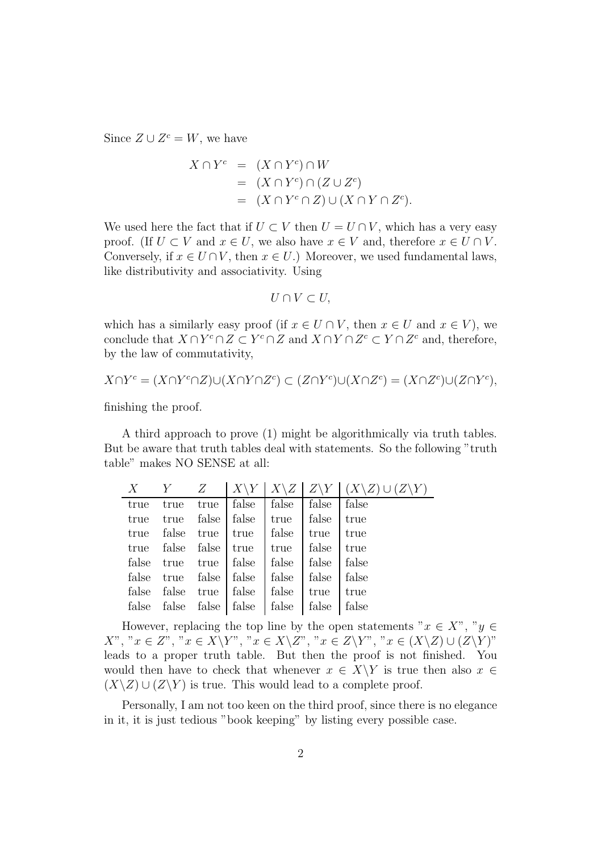Since  $Z \cup Z^c = W$ , we have

$$
X \cap Y^c = (X \cap Y^c) \cap W
$$
  
=  $(X \cap Y^c) \cap (Z \cup Z^c)$   
=  $(X \cap Y^c \cap Z) \cup (X \cap Y \cap Z^c)$ .

We used here the fact that if  $U \subset V$  then  $U = U \cap V$ , which has a very easy proof. (If  $U \subset V$  and  $x \in U$ , we also have  $x \in V$  and, therefore  $x \in U \cap V$ . Conversely, if  $x \in U \cap V$ , then  $x \in U$ .) Moreover, we used fundamental laws, like distributivity and associativity. Using

$$
U\cap V\subset U,
$$

which has a similarly easy proof (if  $x \in U \cap V$ , then  $x \in U$  and  $x \in V$ ), we conclude that  $X \cap Y^c \cap Z \subset Y^c \cap Z$  and  $X \cap Y \cap Z^c \subset Y \cap Z^c$  and, therefore, by the law of commutativity,

$$
X \cap Y^c = (X \cap Y^c \cap Z) \cup (X \cap Y \cap Z^c) \subset (Z \cap Y^c) \cup (X \cap Z^c) = (X \cap Z^c) \cup (Z \cap Y^c),
$$

finishing the proof.

A third approach to prove (1) might be algorithmically via truth tables. But be aware that truth tables deal with statements. So the following "truth table" makes NO SENSE at all:

|  |  |                                                                                                   |  | $X$ $Y$ $Z$ $ X\Y X\Z Z\Y  (X\Z) \cup (Z\Y)$ |
|--|--|---------------------------------------------------------------------------------------------------|--|----------------------------------------------|
|  |  | true true   false   false   false   false                                                         |  |                                              |
|  |  | true true false   false   true   false   true                                                     |  |                                              |
|  |  | true false true   true   false   true   true                                                      |  |                                              |
|  |  | true false false true true false true                                                             |  |                                              |
|  |  | false true true   false   false   false   false                                                   |  |                                              |
|  |  | false true false   false   false   false   false                                                  |  |                                              |
|  |  | false false true false   false   true   true                                                      |  |                                              |
|  |  | false $\left  \right $ false $\left  \right $ false $\left  \right $ false $\left  \right $ false |  |                                              |
|  |  |                                                                                                   |  |                                              |

However, replacing the top line by the open statements " $x \in X$ ", " $y \in Y$  $X$ ", " $x \in Z$ ", " $x \in X \backslash Y$ ", " $x \in X \backslash Z$ ", " $x \in Z \backslash Y$ ", " $x \in (X \backslash Z) \cup (Z \backslash Y)$ " leads to a proper truth table. But then the proof is not finished. You would then have to check that whenever  $x \in X \ Y$  is true then also  $x \in$  $(X\setminus Z) \cup (Z\setminus Y)$  is true. This would lead to a complete proof.

Personally, I am not too keen on the third proof, since there is no elegance in it, it is just tedious "book keeping" by listing every possible case.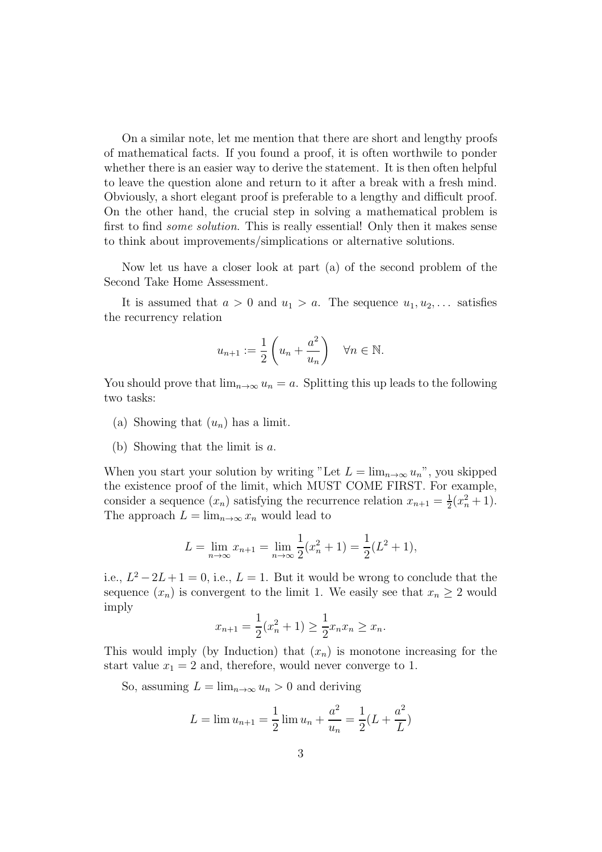On a similar note, let me mention that there are short and lengthy proofs of mathematical facts. If you found a proof, it is often worthwile to ponder whether there is an easier way to derive the statement. It is then often helpful to leave the question alone and return to it after a break with a fresh mind. Obviously, a short elegant proof is preferable to a lengthy and difficult proof. On the other hand, the crucial step in solving a mathematical problem is first to find *some solution*. This is really essential! Only then it makes sense to think about improvements/simplications or alternative solutions.

Now let us have a closer look at part (a) of the second problem of the Second Take Home Assessment.

It is assumed that  $a > 0$  and  $u_1 > a$ . The sequence  $u_1, u_2, \ldots$  satisfies the recurrency relation

$$
u_{n+1} := \frac{1}{2} \left( u_n + \frac{a^2}{u_n} \right) \quad \forall n \in \mathbb{N}.
$$

You should prove that  $\lim_{n\to\infty}u_n=a$ . Splitting this up leads to the following two tasks:

- (a) Showing that  $(u_n)$  has a limit.
- (b) Showing that the limit is a.

When you start your solution by writing "Let  $L = \lim_{n \to \infty} u_n$ ", you skipped the existence proof of the limit, which MUST COME FIRST. For example, consider a sequence  $(x_n)$  satisfying the recurrence relation  $x_{n+1} = \frac{1}{2}$  $\frac{1}{2}(x_n^2+1)$ . The approach  $L = \lim_{n \to \infty} x_n$  would lead to

$$
L = \lim_{n \to \infty} x_{n+1} = \lim_{n \to \infty} \frac{1}{2} (x_n^2 + 1) = \frac{1}{2} (L^2 + 1),
$$

i.e.,  $L^2 - 2L + 1 = 0$ , i.e.,  $L = 1$ . But it would be wrong to conclude that the sequence  $(x_n)$  is convergent to the limit 1. We easily see that  $x_n \geq 2$  would imply

$$
x_{n+1} = \frac{1}{2}(x_n^2 + 1) \ge \frac{1}{2}x_n x_n \ge x_n.
$$

This would imply (by Induction) that  $(x_n)$  is monotone increasing for the start value  $x_1 = 2$  and, therefore, would never converge to 1.

So, assuming  $L = \lim_{n \to \infty} u_n > 0$  and deriving

$$
L = \lim u_{n+1} = \frac{1}{2} \lim u_n + \frac{a^2}{u_n} = \frac{1}{2} (L + \frac{a^2}{L})
$$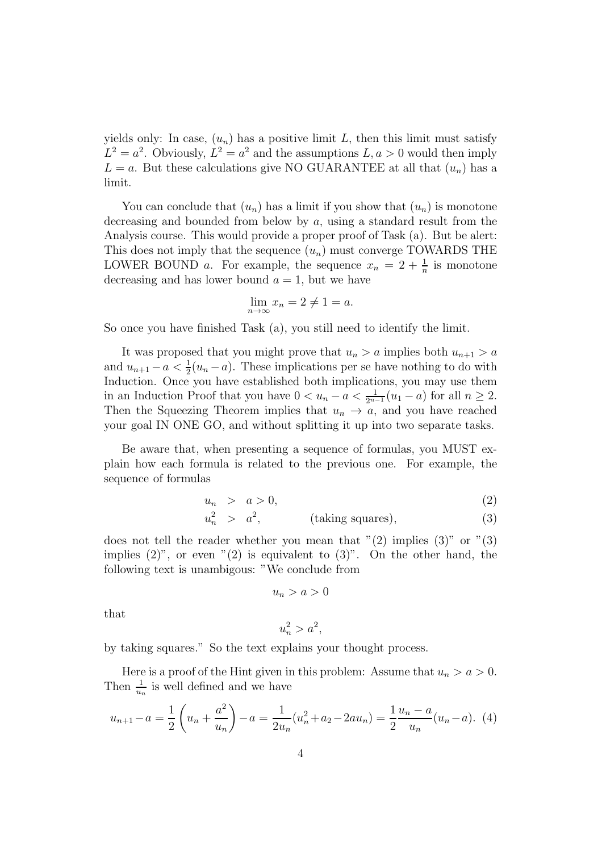yields only: In case,  $(u_n)$  has a positive limit L, then this limit must satisfy  $L^2 = a^2$ . Obviously,  $L^2 = a^2$  and the assumptions  $L, a > 0$  would then imply  $L = a$ . But these calculations give NO GUARANTEE at all that  $(u_n)$  has a limit.

You can conclude that  $(u_n)$  has a limit if you show that  $(u_n)$  is monotone decreasing and bounded from below by  $a$ , using a standard result from the Analysis course. This would provide a proper proof of Task (a). But be alert: This does not imply that the sequence  $(u_n)$  must converge TOWARDS THE LOWER BOUND *a*. For example, the sequence  $x_n = 2 + \frac{1}{n}$  is monotone decreasing and has lower bound  $a = 1$ , but we have

$$
\lim_{n \to \infty} x_n = 2 \neq 1 = a.
$$

So once you have finished Task (a), you still need to identify the limit.

It was proposed that you might prove that  $u_n > a$  implies both  $u_{n+1} > a$ and  $u_{n+1} - a < \frac{1}{2}(u_n - a)$ . These implications per se have nothing to do with Induction. Once you have established both implications, you may use them in an Induction Proof that you have  $0 < u_n - a < \frac{1}{2^{n-1}}(u_1 - a)$  for all  $n \ge 2$ . Then the Squeezing Theorem implies that  $u_n \to a$ , and you have reached your goal IN ONE GO, and without splitting it up into two separate tasks.

Be aware that, when presenting a sequence of formulas, you MUST explain how each formula is related to the previous one. For example, the sequence of formulas

$$
u_n > a > 0,\t\t(2)
$$

$$
u_n^2 > a^2, \t (taking squares), \t (3)
$$

does not tell the reader whether you mean that  $(2)$  implies  $(3)$ " or  $(3)$ " implies  $(2)$ ", or even " $(2)$  is equivalent to  $(3)$ ". On the other hand, the following text is unambigous: "We conclude from

$$
u_n > a > 0
$$

that

$$
u_n^2 > a^2
$$

by taking squares." So the text explains your thought process.

Here is a proof of the Hint given in this problem: Assume that  $u_n > a > 0$ . Then  $\frac{1}{u_n}$  is well defined and we have

$$
u_{n+1} - a = \frac{1}{2} \left( u_n + \frac{a^2}{u_n} \right) - a = \frac{1}{2u_n} (u_n^2 + a_2 - 2au_n) = \frac{1}{2} \frac{u_n - a}{u_n} (u_n - a). \tag{4}
$$